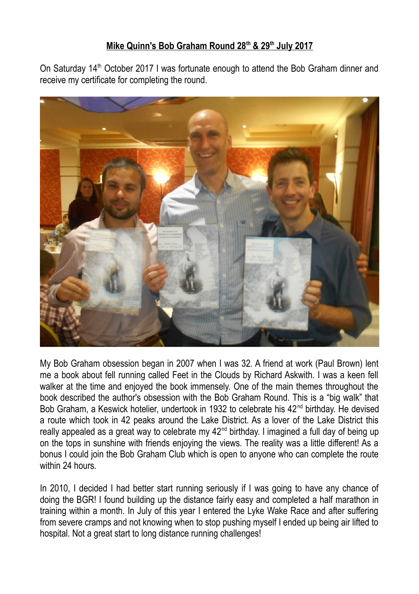## **Mike Quinn's Bob Graham Round 28th & 29th July 2017**

On Saturday 14<sup>th</sup> October 2017 I was fortunate enough to attend the Bob Graham dinner and receive my certificate for completing the round.



My Bob Graham obsession began in 2007 when I was 32. A friend at work (Paul Brown) lent me a book about fell running called Feet in the Clouds by Richard Askwith. I was a keen fell walker at the time and enjoyed the book immensely. One of the main themes throughout the book described the author's obsession with the Bob Graham Round. This is a "big walk" that Bob Graham, a Keswick hotelier, undertook in 1932 to celebrate his 42<sup>nd</sup> birthday. He devised a route which took in 42 peaks around the Lake District. As a lover of the Lake District this really appealed as a great way to celebrate my 42<sup>nd</sup> birthday. I imagined a full day of being up on the tops in sunshine with friends enjoying the views. The reality was a little different! As a bonus I could join the Bob Graham Club which is open to anyone who can complete the route within 24 hours.

In 2010, I decided I had better start running seriously if I was going to have any chance of doing the BGR! I found building up the distance fairly easy and completed a half marathon in training within a month. In July of this year I entered the Lyke Wake Race and after suffering from severe cramps and not knowing when to stop pushing myself I ended up being air lifted to hospital. Not a great start to long distance running challenges!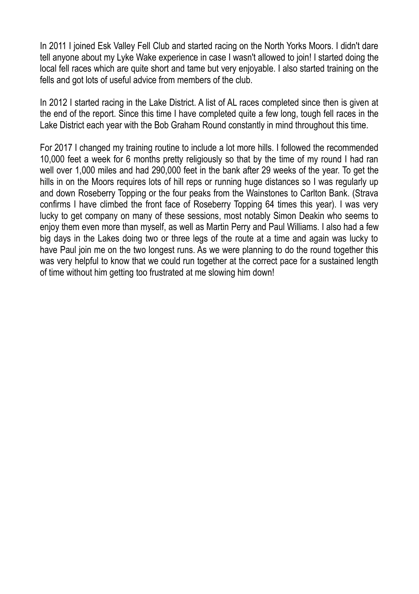In 2011 I joined Esk Valley Fell Club and started racing on the North Yorks Moors. I didn't dare tell anyone about my Lyke Wake experience in case I wasn't allowed to join! I started doing the local fell races which are quite short and tame but very enjoyable. I also started training on the fells and got lots of useful advice from members of the club.

In 2012 I started racing in the Lake District. A list of AL races completed since then is given at the end of the report. Since this time I have completed quite a few long, tough fell races in the Lake District each year with the Bob Graham Round constantly in mind throughout this time.

For 2017 I changed my training routine to include a lot more hills. I followed the recommended 10,000 feet a week for 6 months pretty religiously so that by the time of my round I had ran well over 1,000 miles and had 290,000 feet in the bank after 29 weeks of the year. To get the hills in on the Moors requires lots of hill reps or running huge distances so I was regularly up and down Roseberry Topping or the four peaks from the Wainstones to Carlton Bank. (Strava confirms I have climbed the front face of Roseberry Topping 64 times this year). I was very lucky to get company on many of these sessions, most notably Simon Deakin who seems to enjoy them even more than myself, as well as Martin Perry and Paul Williams. I also had a few big days in the Lakes doing two or three legs of the route at a time and again was lucky to have Paul join me on the two longest runs. As we were planning to do the round together this was very helpful to know that we could run together at the correct pace for a sustained length of time without him getting too frustrated at me slowing him down!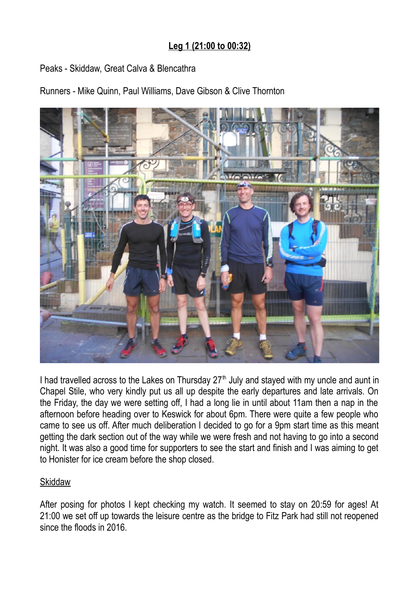# **Leg 1 (21:00 to 00:32)**

## Peaks - Skiddaw, Great Calva & Blencathra

Runners - Mike Quinn, Paul Williams, Dave Gibson & Clive Thornton



I had travelled across to the Lakes on Thursday  $27<sup>th</sup>$  July and stayed with my uncle and aunt in Chapel Stile, who very kindly put us all up despite the early departures and late arrivals. On the Friday, the day we were setting off, I had a long lie in until about 11am then a nap in the afternoon before heading over to Keswick for about 6pm. There were quite a few people who came to see us off. After much deliberation I decided to go for a 9pm start time as this meant getting the dark section out of the way while we were fresh and not having to go into a second night. It was also a good time for supporters to see the start and finish and I was aiming to get to Honister for ice cream before the shop closed.

### **Skiddaw**

After posing for photos I kept checking my watch. It seemed to stay on 20:59 for ages! At 21:00 we set off up towards the leisure centre as the bridge to Fitz Park had still not reopened since the floods in 2016.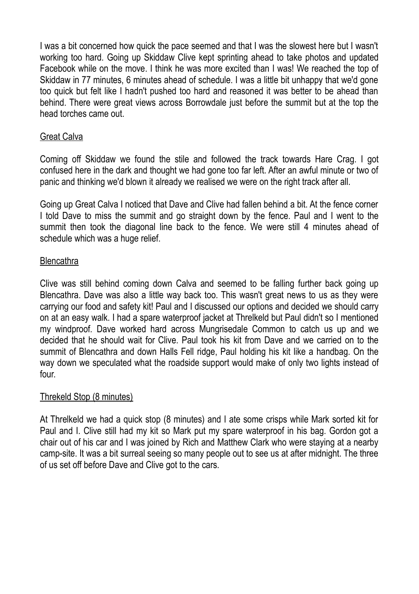I was a bit concerned how quick the pace seemed and that I was the slowest here but I wasn't working too hard. Going up Skiddaw Clive kept sprinting ahead to take photos and updated Facebook while on the move. I think he was more excited than I was! We reached the top of Skiddaw in 77 minutes, 6 minutes ahead of schedule. I was a little bit unhappy that we'd gone too quick but felt like I hadn't pushed too hard and reasoned it was better to be ahead than behind. There were great views across Borrowdale just before the summit but at the top the head torches came out.

## Great Calva

Coming off Skiddaw we found the stile and followed the track towards Hare Crag. I got confused here in the dark and thought we had gone too far left. After an awful minute or two of panic and thinking we'd blown it already we realised we were on the right track after all.

Going up Great Calva I noticed that Dave and Clive had fallen behind a bit. At the fence corner I told Dave to miss the summit and go straight down by the fence. Paul and I went to the summit then took the diagonal line back to the fence. We were still 4 minutes ahead of schedule which was a huge relief.

### **Blencathra**

Clive was still behind coming down Calva and seemed to be falling further back going up Blencathra. Dave was also a little way back too. This wasn't great news to us as they were carrying our food and safety kit! Paul and I discussed our options and decided we should carry on at an easy walk. I had a spare waterproof jacket at Threlkeld but Paul didn't so I mentioned my windproof. Dave worked hard across Mungrisedale Common to catch us up and we decided that he should wait for Clive. Paul took his kit from Dave and we carried on to the summit of Blencathra and down Halls Fell ridge, Paul holding his kit like a handbag. On the way down we speculated what the roadside support would make of only two lights instead of four.

## Threkeld Stop (8 minutes)

At Threlkeld we had a quick stop (8 minutes) and I ate some crisps while Mark sorted kit for Paul and I. Clive still had my kit so Mark put my spare waterproof in his bag. Gordon got a chair out of his car and I was joined by Rich and Matthew Clark who were staying at a nearby camp-site. It was a bit surreal seeing so many people out to see us at after midnight. The three of us set off before Dave and Clive got to the cars.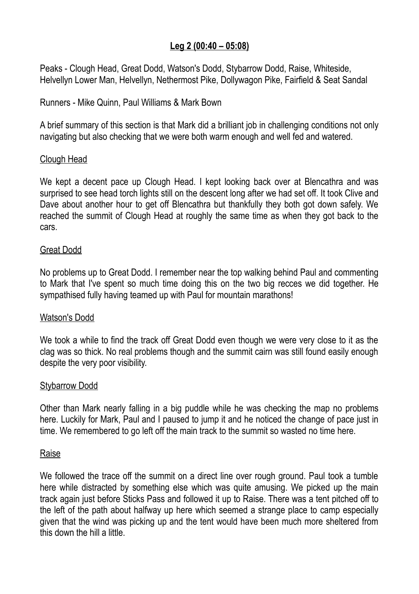## **Leg 2 (00:40 – 05:08)**

Peaks - Clough Head, Great Dodd, Watson's Dodd, Stybarrow Dodd, Raise, Whiteside, Helvellyn Lower Man, Helvellyn, Nethermost Pike, Dollywagon Pike, Fairfield & Seat Sandal

Runners - Mike Quinn, Paul Williams & Mark Bown

A brief summary of this section is that Mark did a brilliant job in challenging conditions not only navigating but also checking that we were both warm enough and well fed and watered.

## Clough Head

We kept a decent pace up Clough Head. I kept looking back over at Blencathra and was surprised to see head torch lights still on the descent long after we had set off. It took Clive and Dave about another hour to get off Blencathra but thankfully they both got down safely. We reached the summit of Clough Head at roughly the same time as when they got back to the cars.

### Great Dodd

No problems up to Great Dodd. I remember near the top walking behind Paul and commenting to Mark that I've spent so much time doing this on the two big recces we did together. He sympathised fully having teamed up with Paul for mountain marathons!

### Watson's Dodd

We took a while to find the track off Great Dodd even though we were very close to it as the clag was so thick. No real problems though and the summit cairn was still found easily enough despite the very poor visibility.

### Stybarrow Dodd

Other than Mark nearly falling in a big puddle while he was checking the map no problems here. Luckily for Mark, Paul and I paused to jump it and he noticed the change of pace just in time. We remembered to go left off the main track to the summit so wasted no time here.

#### Raise

We followed the trace off the summit on a direct line over rough ground. Paul took a tumble here while distracted by something else which was quite amusing. We picked up the main track again just before Sticks Pass and followed it up to Raise. There was a tent pitched off to the left of the path about halfway up here which seemed a strange place to camp especially given that the wind was picking up and the tent would have been much more sheltered from this down the hill a little.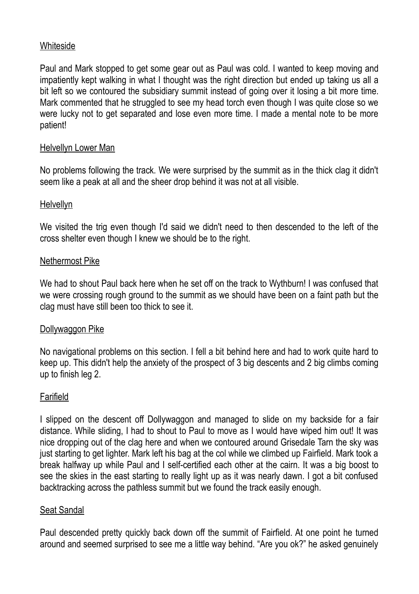## Whiteside

Paul and Mark stopped to get some gear out as Paul was cold. I wanted to keep moving and impatiently kept walking in what I thought was the right direction but ended up taking us all a bit left so we contoured the subsidiary summit instead of going over it losing a bit more time. Mark commented that he struggled to see my head torch even though I was quite close so we were lucky not to get separated and lose even more time. I made a mental note to be more patient!

### Helvellyn Lower Man

No problems following the track. We were surprised by the summit as in the thick clag it didn't seem like a peak at all and the sheer drop behind it was not at all visible.

### Helvellyn

We visited the trig even though I'd said we didn't need to then descended to the left of the cross shelter even though I knew we should be to the right.

## Nethermost Pike

We had to shout Paul back here when he set off on the track to Wythburn! I was confused that we were crossing rough ground to the summit as we should have been on a faint path but the clag must have still been too thick to see it.

### Dollywaggon Pike

No navigational problems on this section. I fell a bit behind here and had to work quite hard to keep up. This didn't help the anxiety of the prospect of 3 big descents and 2 big climbs coming up to finish leg 2.

### Farifield

I slipped on the descent off Dollywaggon and managed to slide on my backside for a fair distance. While sliding, I had to shout to Paul to move as I would have wiped him out! It was nice dropping out of the clag here and when we contoured around Grisedale Tarn the sky was just starting to get lighter. Mark left his bag at the col while we climbed up Fairfield. Mark took a break halfway up while Paul and I self-certified each other at the cairn. It was a big boost to see the skies in the east starting to really light up as it was nearly dawn. I got a bit confused backtracking across the pathless summit but we found the track easily enough.

### Seat Sandal

Paul descended pretty quickly back down off the summit of Fairfield. At one point he turned around and seemed surprised to see me a little way behind. "Are you ok?" he asked genuinely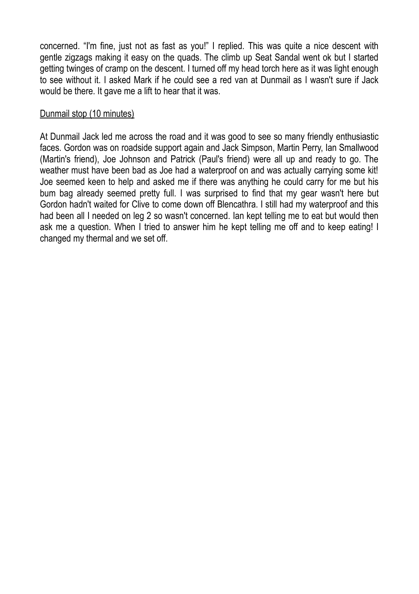concerned. "I'm fine, just not as fast as you!" I replied. This was quite a nice descent with gentle zigzags making it easy on the quads. The climb up Seat Sandal went ok but I started getting twinges of cramp on the descent. I turned off my head torch here as it was light enough to see without it. I asked Mark if he could see a red van at Dunmail as I wasn't sure if Jack would be there. It gave me a lift to hear that it was.

## Dunmail stop (10 minutes)

At Dunmail Jack led me across the road and it was good to see so many friendly enthusiastic faces. Gordon was on roadside support again and Jack Simpson, Martin Perry, Ian Smallwood (Martin's friend), Joe Johnson and Patrick (Paul's friend) were all up and ready to go. The weather must have been bad as Joe had a waterproof on and was actually carrying some kit! Joe seemed keen to help and asked me if there was anything he could carry for me but his bum bag already seemed pretty full. I was surprised to find that my gear wasn't here but Gordon hadn't waited for Clive to come down off Blencathra. I still had my waterproof and this had been all I needed on leg 2 so wasn't concerned. Ian kept telling me to eat but would then ask me a question. When I tried to answer him he kept telling me off and to keep eating! I changed my thermal and we set off.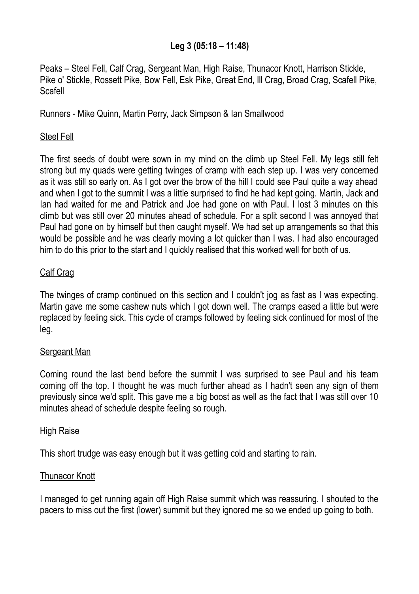## **Leg 3 (05:18 – 11:48)**

Peaks – Steel Fell, Calf Crag, Sergeant Man, High Raise, Thunacor Knott, Harrison Stickle, Pike o' Stickle, Rossett Pike, Bow Fell, Esk Pike, Great End, Ill Crag, Broad Crag, Scafell Pike, Scafell

Runners - Mike Quinn, Martin Perry, Jack Simpson & Ian Smallwood

## Steel Fell

The first seeds of doubt were sown in my mind on the climb up Steel Fell. My legs still felt strong but my quads were getting twinges of cramp with each step up. I was very concerned as it was still so early on. As I got over the brow of the hill I could see Paul quite a way ahead and when I got to the summit I was a little surprised to find he had kept going. Martin, Jack and Ian had waited for me and Patrick and Joe had gone on with Paul. I lost 3 minutes on this climb but was still over 20 minutes ahead of schedule. For a split second I was annoyed that Paul had gone on by himself but then caught myself. We had set up arrangements so that this would be possible and he was clearly moving a lot quicker than I was. I had also encouraged him to do this prior to the start and I quickly realised that this worked well for both of us.

## Calf Crag

The twinges of cramp continued on this section and I couldn't jog as fast as I was expecting. Martin gave me some cashew nuts which I got down well. The cramps eased a little but were replaced by feeling sick. This cycle of cramps followed by feeling sick continued for most of the leg.

### Sergeant Man

Coming round the last bend before the summit I was surprised to see Paul and his team coming off the top. I thought he was much further ahead as I hadn't seen any sign of them previously since we'd split. This gave me a big boost as well as the fact that I was still over 10 minutes ahead of schedule despite feeling so rough.

### High Raise

This short trudge was easy enough but it was getting cold and starting to rain.

### Thunacor Knott

I managed to get running again off High Raise summit which was reassuring. I shouted to the pacers to miss out the first (lower) summit but they ignored me so we ended up going to both.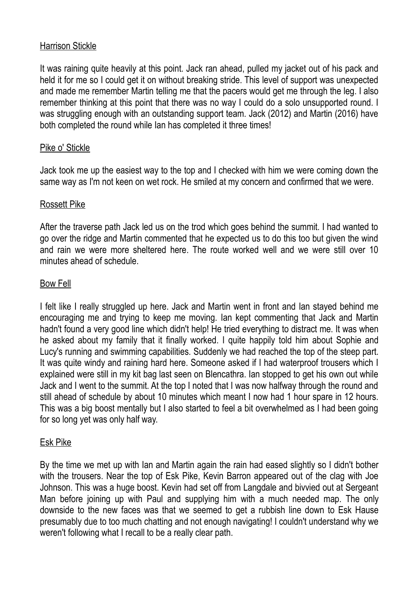## Harrison Stickle

It was raining quite heavily at this point. Jack ran ahead, pulled my jacket out of his pack and held it for me so I could get it on without breaking stride. This level of support was unexpected and made me remember Martin telling me that the pacers would get me through the leg. I also remember thinking at this point that there was no way I could do a solo unsupported round. I was struggling enough with an outstanding support team. Jack (2012) and Martin (2016) have both completed the round while Ian has completed it three times!

## Pike o' Stickle

Jack took me up the easiest way to the top and I checked with him we were coming down the same way as I'm not keen on wet rock. He smiled at my concern and confirmed that we were.

## Rossett Pike

After the traverse path Jack led us on the trod which goes behind the summit. I had wanted to go over the ridge and Martin commented that he expected us to do this too but given the wind and rain we were more sheltered here. The route worked well and we were still over 10 minutes ahead of schedule.

## Bow Fell

I felt like I really struggled up here. Jack and Martin went in front and Ian stayed behind me encouraging me and trying to keep me moving. Ian kept commenting that Jack and Martin hadn't found a very good line which didn't help! He tried everything to distract me. It was when he asked about my family that it finally worked. I quite happily told him about Sophie and Lucy's running and swimming capabilities. Suddenly we had reached the top of the steep part. It was quite windy and raining hard here. Someone asked if I had waterproof trousers which I explained were still in my kit bag last seen on Blencathra. Ian stopped to get his own out while Jack and I went to the summit. At the top I noted that I was now halfway through the round and still ahead of schedule by about 10 minutes which meant I now had 1 hour spare in 12 hours. This was a big boost mentally but I also started to feel a bit overwhelmed as I had been going for so long yet was only half way.

### Esk Pike

By the time we met up with Ian and Martin again the rain had eased slightly so I didn't bother with the trousers. Near the top of Esk Pike, Kevin Barron appeared out of the clag with Joe Johnson. This was a huge boost. Kevin had set off from Langdale and bivvied out at Sergeant Man before joining up with Paul and supplying him with a much needed map. The only downside to the new faces was that we seemed to get a rubbish line down to Esk Hause presumably due to too much chatting and not enough navigating! I couldn't understand why we weren't following what I recall to be a really clear path.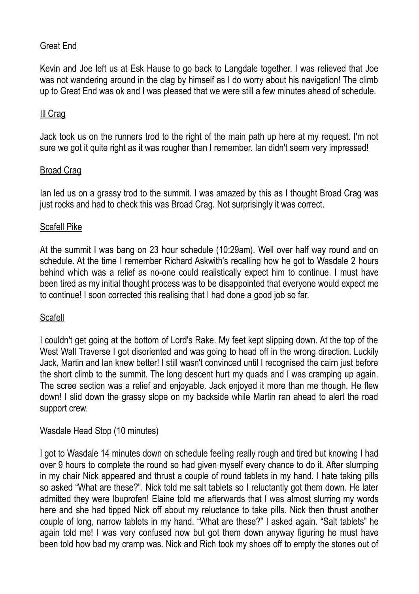## Great End

Kevin and Joe left us at Esk Hause to go back to Langdale together. I was relieved that Joe was not wandering around in the clag by himself as I do worry about his navigation! The climb up to Great End was ok and I was pleased that we were still a few minutes ahead of schedule.

### Ill Crag

Jack took us on the runners trod to the right of the main path up here at my request. I'm not sure we got it quite right as it was rougher than I remember. Ian didn't seem very impressed!

### **Broad Crag**

Ian led us on a grassy trod to the summit. I was amazed by this as I thought Broad Crag was just rocks and had to check this was Broad Crag. Not surprisingly it was correct.

### Scafell Pike

At the summit I was bang on 23 hour schedule (10:29am). Well over half way round and on schedule. At the time I remember Richard Askwith's recalling how he got to Wasdale 2 hours behind which was a relief as no-one could realistically expect him to continue. I must have been tired as my initial thought process was to be disappointed that everyone would expect me to continue! I soon corrected this realising that I had done a good job so far.

### **Scafell**

I couldn't get going at the bottom of Lord's Rake. My feet kept slipping down. At the top of the West Wall Traverse I got disoriented and was going to head off in the wrong direction. Luckily Jack, Martin and Ian knew better! I still wasn't convinced until I recognised the cairn just before the short climb to the summit. The long descent hurt my quads and I was cramping up again. The scree section was a relief and enjoyable. Jack enjoyed it more than me though. He flew down! I slid down the grassy slope on my backside while Martin ran ahead to alert the road support crew.

#### Wasdale Head Stop (10 minutes)

I got to Wasdale 14 minutes down on schedule feeling really rough and tired but knowing I had over 9 hours to complete the round so had given myself every chance to do it. After slumping in my chair Nick appeared and thrust a couple of round tablets in my hand. I hate taking pills so asked "What are these?". Nick told me salt tablets so I reluctantly got them down. He later admitted they were Ibuprofen! Elaine told me afterwards that I was almost slurring my words here and she had tipped Nick off about my reluctance to take pills. Nick then thrust another couple of long, narrow tablets in my hand. "What are these?" I asked again. "Salt tablets" he again told me! I was very confused now but got them down anyway figuring he must have been told how bad my cramp was. Nick and Rich took my shoes off to empty the stones out of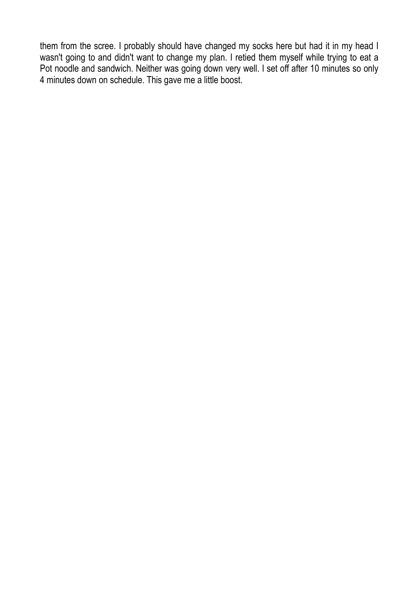them from the scree. I probably should have changed my socks here but had it in my head I wasn't going to and didn't want to change my plan. I retied them myself while trying to eat a Pot noodle and sandwich. Neither was going down very well. I set off after 10 minutes so only 4 minutes down on schedule. This gave me a little boost.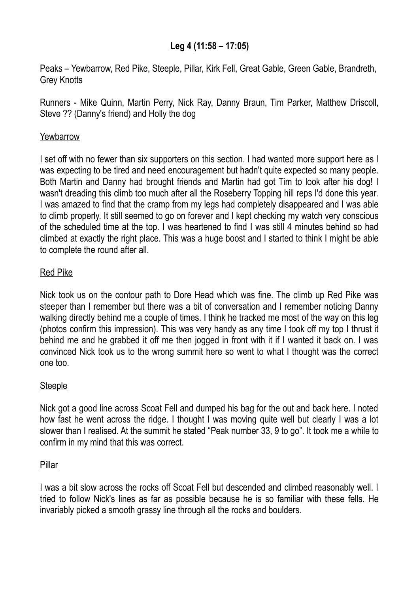## **Leg 4 (11:58 – 17:05)**

Peaks – Yewbarrow, Red Pike, Steeple, Pillar, Kirk Fell, Great Gable, Green Gable, Brandreth, Grey Knotts

Runners - Mike Quinn, Martin Perry, Nick Ray, Danny Braun, Tim Parker, Matthew Driscoll, Steve ?? (Danny's friend) and Holly the dog

## **Yewbarrow**

I set off with no fewer than six supporters on this section. I had wanted more support here as I was expecting to be tired and need encouragement but hadn't quite expected so many people. Both Martin and Danny had brought friends and Martin had got Tim to look after his dog! I wasn't dreading this climb too much after all the Roseberry Topping hill reps I'd done this year. I was amazed to find that the cramp from my legs had completely disappeared and I was able to climb properly. It still seemed to go on forever and I kept checking my watch very conscious of the scheduled time at the top. I was heartened to find I was still 4 minutes behind so had climbed at exactly the right place. This was a huge boost and I started to think I might be able to complete the round after all.

## Red Pike

Nick took us on the contour path to Dore Head which was fine. The climb up Red Pike was steeper than I remember but there was a bit of conversation and I remember noticing Danny walking directly behind me a couple of times. I think he tracked me most of the way on this leg (photos confirm this impression). This was very handy as any time I took off my top I thrust it behind me and he grabbed it off me then jogged in front with it if I wanted it back on. I was convinced Nick took us to the wrong summit here so went to what I thought was the correct one too.

### **Steeple**

Nick got a good line across Scoat Fell and dumped his bag for the out and back here. I noted how fast he went across the ridge. I thought I was moving quite well but clearly I was a lot slower than I realised. At the summit he stated "Peak number 33, 9 to go". It took me a while to confirm in my mind that this was correct.

### Pillar

I was a bit slow across the rocks off Scoat Fell but descended and climbed reasonably well. I tried to follow Nick's lines as far as possible because he is so familiar with these fells. He invariably picked a smooth grassy line through all the rocks and boulders.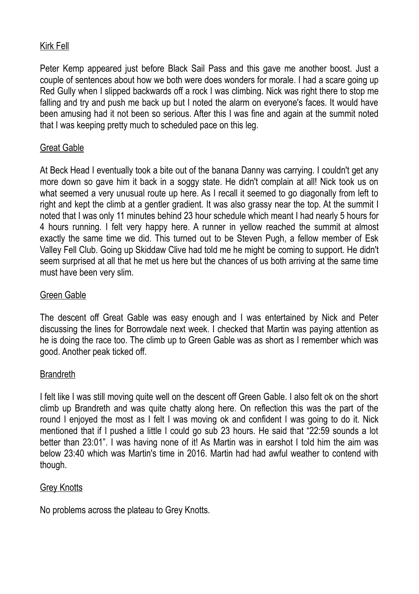## Kirk Fell

Peter Kemp appeared just before Black Sail Pass and this gave me another boost. Just a couple of sentences about how we both were does wonders for morale. I had a scare going up Red Gully when I slipped backwards off a rock I was climbing. Nick was right there to stop me falling and try and push me back up but I noted the alarm on everyone's faces. It would have been amusing had it not been so serious. After this I was fine and again at the summit noted that I was keeping pretty much to scheduled pace on this leg.

## Great Gable

At Beck Head I eventually took a bite out of the banana Danny was carrying. I couldn't get any more down so gave him it back in a soggy state. He didn't complain at all! Nick took us on what seemed a very unusual route up here. As I recall it seemed to go diagonally from left to right and kept the climb at a gentler gradient. It was also grassy near the top. At the summit I noted that I was only 11 minutes behind 23 hour schedule which meant I had nearly 5 hours for 4 hours running. I felt very happy here. A runner in yellow reached the summit at almost exactly the same time we did. This turned out to be Steven Pugh, a fellow member of Esk Valley Fell Club. Going up Skiddaw Clive had told me he might be coming to support. He didn't seem surprised at all that he met us here but the chances of us both arriving at the same time must have been very slim.

### Green Gable

The descent off Great Gable was easy enough and I was entertained by Nick and Peter discussing the lines for Borrowdale next week. I checked that Martin was paying attention as he is doing the race too. The climb up to Green Gable was as short as I remember which was good. Another peak ticked off.

### **Brandreth**

I felt like I was still moving quite well on the descent off Green Gable. I also felt ok on the short climb up Brandreth and was quite chatty along here. On reflection this was the part of the round I enjoyed the most as I felt I was moving ok and confident I was going to do it. Nick mentioned that if I pushed a little I could go sub 23 hours. He said that "22:59 sounds a lot better than 23:01". I was having none of it! As Martin was in earshot I told him the aim was below 23:40 which was Martin's time in 2016. Martin had had awful weather to contend with though.

### **Grey Knotts**

No problems across the plateau to Grey Knotts.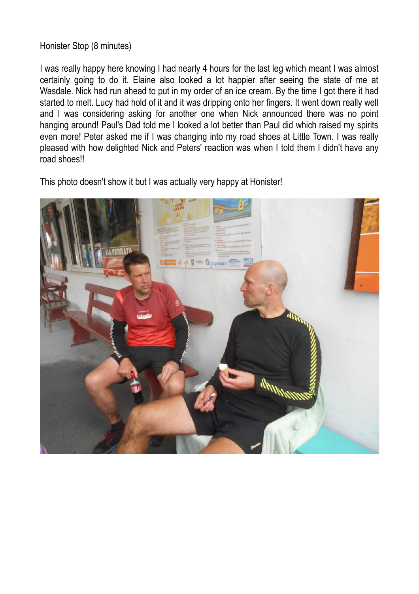### Honister Stop (8 minutes)

I was really happy here knowing I had nearly 4 hours for the last leg which meant I was almost certainly going to do it. Elaine also looked a lot happier after seeing the state of me at Wasdale. Nick had run ahead to put in my order of an ice cream. By the time I got there it had started to melt. Lucy had hold of it and it was dripping onto her fingers. It went down really well and I was considering asking for another one when Nick announced there was no point hanging around! Paul's Dad told me I looked a lot better than Paul did which raised my spirits even more! Peter asked me if I was changing into my road shoes at Little Town. I was really pleased with how delighted Nick and Peters' reaction was when I told them I didn't have any road shoes!!

This photo doesn't show it but I was actually very happy at Honister!

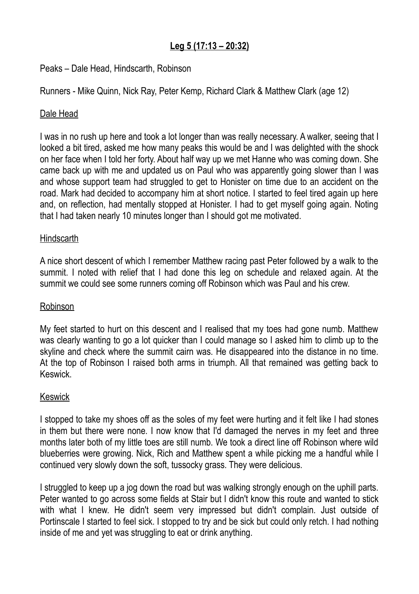## **Leg 5 (17:13 – 20:32)**

## Peaks – Dale Head, Hindscarth, Robinson

Runners - Mike Quinn, Nick Ray, Peter Kemp, Richard Clark & Matthew Clark (age 12)

### Dale Head

I was in no rush up here and took a lot longer than was really necessary. A walker, seeing that I looked a bit tired, asked me how many peaks this would be and I was delighted with the shock on her face when I told her forty. About half way up we met Hanne who was coming down. She came back up with me and updated us on Paul who was apparently going slower than I was and whose support team had struggled to get to Honister on time due to an accident on the road. Mark had decided to accompany him at short notice. I started to feel tired again up here and, on reflection, had mentally stopped at Honister. I had to get myself going again. Noting that I had taken nearly 10 minutes longer than I should got me motivated.

### **Hindscarth**

A nice short descent of which I remember Matthew racing past Peter followed by a walk to the summit. I noted with relief that I had done this leg on schedule and relaxed again. At the summit we could see some runners coming off Robinson which was Paul and his crew.

### Robinson

My feet started to hurt on this descent and I realised that my toes had gone numb. Matthew was clearly wanting to go a lot quicker than I could manage so I asked him to climb up to the skyline and check where the summit cairn was. He disappeared into the distance in no time. At the top of Robinson I raised both arms in triumph. All that remained was getting back to Keswick.

### Keswick

I stopped to take my shoes off as the soles of my feet were hurting and it felt like I had stones in them but there were none. I now know that I'd damaged the nerves in my feet and three months later both of my little toes are still numb. We took a direct line off Robinson where wild blueberries were growing. Nick, Rich and Matthew spent a while picking me a handful while I continued very slowly down the soft, tussocky grass. They were delicious.

I struggled to keep up a jog down the road but was walking strongly enough on the uphill parts. Peter wanted to go across some fields at Stair but I didn't know this route and wanted to stick with what I knew. He didn't seem very impressed but didn't complain. Just outside of Portinscale I started to feel sick. I stopped to try and be sick but could only retch. I had nothing inside of me and yet was struggling to eat or drink anything.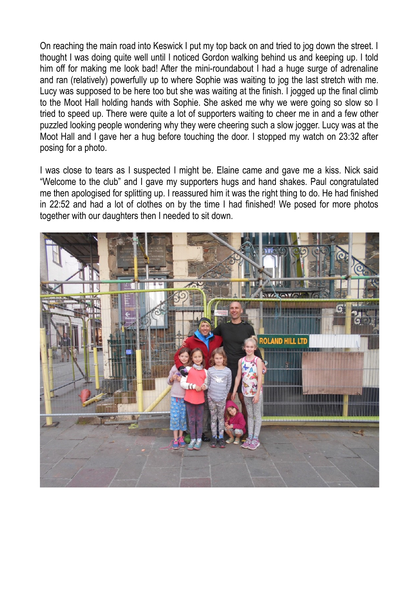On reaching the main road into Keswick I put my top back on and tried to jog down the street. I thought I was doing quite well until I noticed Gordon walking behind us and keeping up. I told him off for making me look bad! After the mini-roundabout I had a huge surge of adrenaline and ran (relatively) powerfully up to where Sophie was waiting to jog the last stretch with me. Lucy was supposed to be here too but she was waiting at the finish. I jogged up the final climb to the Moot Hall holding hands with Sophie. She asked me why we were going so slow so I tried to speed up. There were quite a lot of supporters waiting to cheer me in and a few other puzzled looking people wondering why they were cheering such a slow jogger. Lucy was at the Moot Hall and I gave her a hug before touching the door. I stopped my watch on 23:32 after posing for a photo.

I was close to tears as I suspected I might be. Elaine came and gave me a kiss. Nick said "Welcome to the club" and I gave my supporters hugs and hand shakes. Paul congratulated me then apologised for splitting up. I reassured him it was the right thing to do. He had finished in 22:52 and had a lot of clothes on by the time I had finished! We posed for more photos together with our daughters then I needed to sit down.

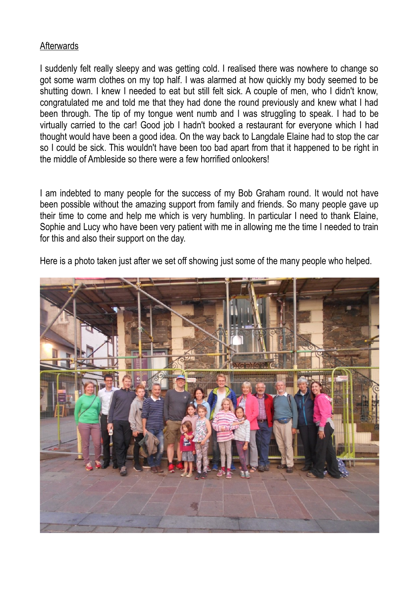### **Afterwards**

I suddenly felt really sleepy and was getting cold. I realised there was nowhere to change so got some warm clothes on my top half. I was alarmed at how quickly my body seemed to be shutting down. I knew I needed to eat but still felt sick. A couple of men, who I didn't know, congratulated me and told me that they had done the round previously and knew what I had been through. The tip of my tongue went numb and I was struggling to speak. I had to be virtually carried to the car! Good job I hadn't booked a restaurant for everyone which I had thought would have been a good idea. On the way back to Langdale Elaine had to stop the car so I could be sick. This wouldn't have been too bad apart from that it happened to be right in the middle of Ambleside so there were a few horrified onlookers!

I am indebted to many people for the success of my Bob Graham round. It would not have been possible without the amazing support from family and friends. So many people gave up their time to come and help me which is very humbling. In particular I need to thank Elaine, Sophie and Lucy who have been very patient with me in allowing me the time I needed to train for this and also their support on the day.

Here is a photo taken just after we set off showing just some of the many people who helped.